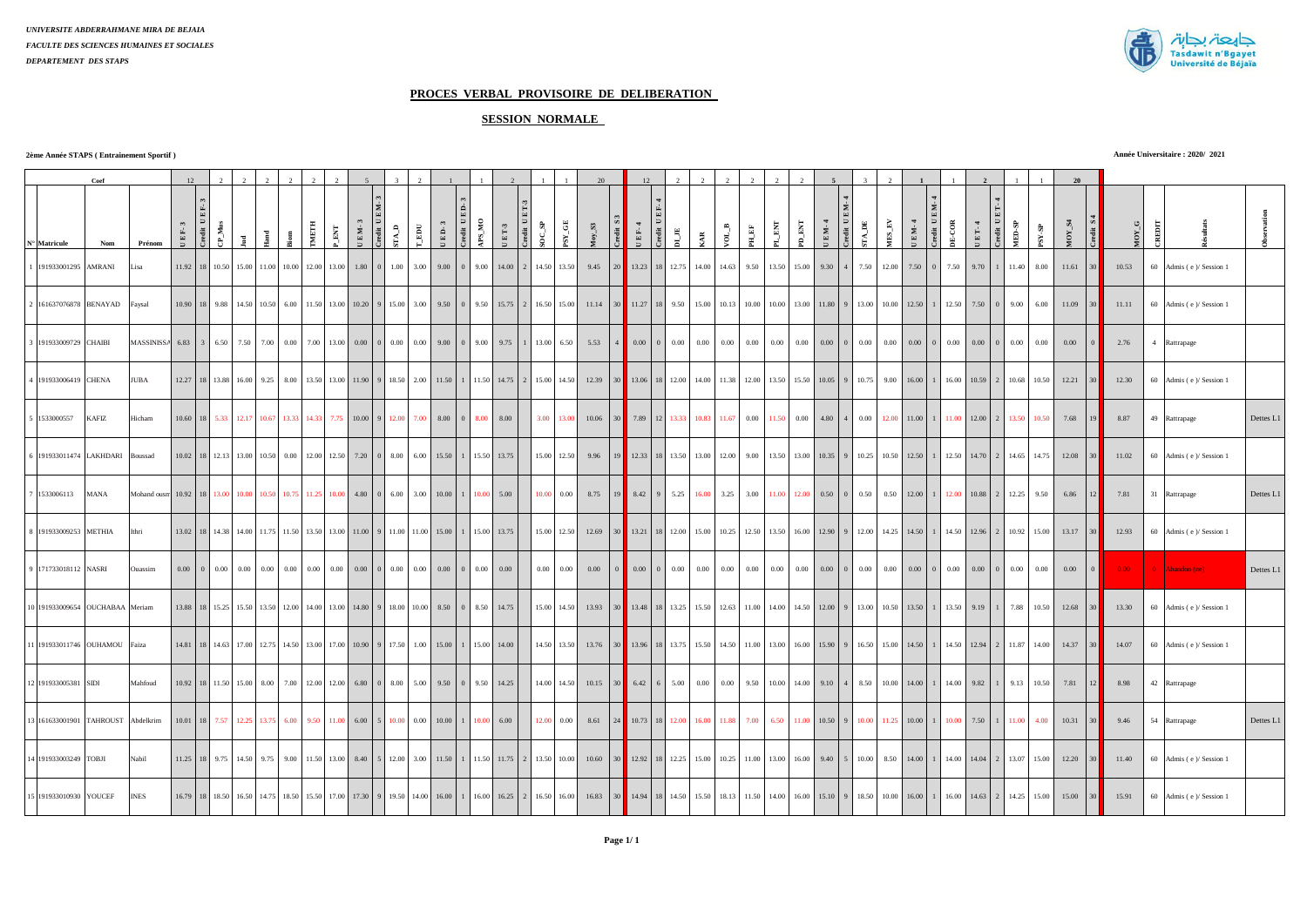

# **PROCES VERBAL PROVISOIRE DE DELIBERATION**

## **SESSION NORMALE**

**2ème Année STAPS ( Entrainement Sportif )**

**Année Universitaire : 2020/ 2021**

|                              | Coef                            |                                                                                                                             | 12.            |                   |                                          |       |                                                                             |            |                         |                                |                                      |             |            |                             |                                                                                                                                     |  |                   |                | 20    |        | 12.                                |                                                      |             |                                                                                                                                                                                                                 |              |                        |                        |                            |                            |        |                                           |                                                            |                         |                  | 20     |                 |            |                        |           |
|------------------------------|---------------------------------|-----------------------------------------------------------------------------------------------------------------------------|----------------|-------------------|------------------------------------------|-------|-----------------------------------------------------------------------------|------------|-------------------------|--------------------------------|--------------------------------------|-------------|------------|-----------------------------|-------------------------------------------------------------------------------------------------------------------------------------|--|-------------------|----------------|-------|--------|------------------------------------|------------------------------------------------------|-------------|-----------------------------------------------------------------------------------------------------------------------------------------------------------------------------------------------------------------|--------------|------------------------|------------------------|----------------------------|----------------------------|--------|-------------------------------------------|------------------------------------------------------------|-------------------------|------------------|--------|-----------------|------------|------------------------|-----------|
| $\mathbf{N}^\circ$ Matricule | Nom                             | Prénom                                                                                                                      | $\mathbb E$ F- | redit U<br>$M$ us |                                          |       |                                                                             |            | $\mathbb{E} \mathbf{M}$ | redit UEM-3<br>EM-             | $\mathbf{r}_{\mathbf{A},\mathbf{D}}$ | $_{\rm EU}$ | $E$ D- $3$ | $ED-3$<br>redit $\mathbf U$ | $\mathbf{MS\_MO}$<br>$_{\rm E\,T-3}$                                                                                                |  | $\mathbf{OC\_SP}$ | ${\rm SY\_GE}$ | $S_1$ | ₹,     | $E E-4$                            | $\mathbf{D}\mathbf{I}_- \mathbf{J}\mathbf{E}$<br>- 黃 | $\tilde{z}$ | $\sigma^-$ to<br>$\mathbf{H}$ .<br>EF                                                                                                                                                                           | $\mathbb{E}$ | $\mathbf{K}$           | $_{\rm EM-4}$          | $\Gamma\Lambda\_\text{DE}$ | ${\overline {\rm MS\_EV}}$ | $EM-4$ | redit $\mathbf{U}\,\mathbf{E}$<br>$5-00R$ | $ET-4$                                                     | <b>MED-SP</b>           | $48\!\times\!88$ | MOY_S4 |                 | $M O Y\_G$ |                        |           |
|                              | 191933001295 AMRANI             | Lisa                                                                                                                        |                |                   |                                          |       | 11.92   18   10.50   15.00   11.00   10.00   12.00   13.00                  |            |                         | $1.80 \quad 0 \quad 1.00$      |                                      |             |            |                             | $3.00$ 9.00 0 9.00 14.00 2 14.50 13.50                                                                                              |  |                   |                | 9.45  | 20     | 13.23 18 12.75 14.00               |                                                      |             | 14.63<br>9.50                                                                                                                                                                                                   |              | 13.50 15.00 9.30       |                        | $\Lambda$                  | 7.50 12.00                 | 7.50   | 0 7.50                                    | 9.70                                                       | 11.40                   | 8.00             | 11.61  | 30 <sup>2</sup> | 10.53      | 60 Admis (e) Session 1 |           |
|                              | 2 161637076878 BENAYAD          | Faysal                                                                                                                      |                |                   |                                          |       |                                                                             |            |                         |                                |                                      |             |            |                             |                                                                                                                                     |  |                   |                |       |        |                                    |                                                      |             | 10.00 18 9.88 14.50 10.50 6.00 11.50 13.00 10.20 9 15.00 3.00 9.50 0 9.50 15.75 2 16.50 15.00 11.14 30 11.27 18 9.50 15.00 10.13 10.00 10.00 13.00 10.00 12.50 11.80 9 13.00 10.00 12.50 1 12.50 1 12.50 7.50 0 |              |                        |                        |                            |                            |        |                                           |                                                            |                         | 9.00 6.00        | 11.09  | 30 <sup>1</sup> | 11.11      | 60 Admis (e) Session 1 |           |
| 3 191933009729 CHAIBI        |                                 | MASSINISSA 6.83 3 6.50 7.50 7.00 0.00 7.00 13.00 0.00 0 0.00 0.00 9.00 0 9.00 0 9.75 1 13.00 6.50                           |                |                   |                                          |       |                                                                             |            |                         |                                |                                      |             |            |                             |                                                                                                                                     |  |                   |                | 5.53  |        | $4$ 0.00 0 0.00                    |                                                      | 0.00        | 0.00<br>0.00                                                                                                                                                                                                    |              | $0.00 \t 0.00 \t 0.00$ |                        | 0.00<br>$\Omega$           | 0.00                       |        | $0.00 \quad 0 \quad 0.00$                 | $0.00 \quad 0$                                             | 0.00                    | 0.00             | 0.00   |                 | 2.76       | 4 Rattrapage           |           |
| 4 191933006419 CHENA         |                                 | <b>JUBA</b>                                                                                                                 |                |                   | 12.27   18   13.88   16.00               | 9.25  |                                                                             |            |                         | 8.00 13.50 13.00 11.90 9 18.50 |                                      |             |            |                             | 2.00 11.50 1 11.50 14.75 2 15.00 14.50                                                                                              |  |                   |                | 12.39 |        | 30 13.06 18 12.00 14.00            |                                                      |             | 11.38 12.00                                                                                                                                                                                                     |              |                        | 13.50 15.50 10.05      | 10.75                      | 9.00                       | 16.00  |                                           | 1 16.00 10.59 2 10.68 10.50                                |                         |                  | 12.21  |                 | 12.30      | 60 Admis (e) Session 1 |           |
| 1533000557                   | <b>KAFIZ</b>                    | Hicham                                                                                                                      |                | $10.60$ 18 5.33   | 12.17                                    | 10.67 |                                                                             | 14.33      | 7.75                    | $10.00$ 9 12.00                |                                      | 7.00        | 8.00       |                             | 8.00<br>8.00                                                                                                                        |  | 3.00              | 13.00          | 10.06 |        | 7.89                               | 13.33                                                | 10.83       | 0.00<br>11.67                                                                                                                                                                                                   | 11.50        | 0.00                   | 4.80                   | 0.00                       | 12.00                      | 11.00  | 11.00                                     | 12.00                                                      | $\overline{2}$<br>13.50 |                  | 7.68   |                 | 8.87       | 49 Rattrapage          | Dettes L1 |
|                              | 6 191933011474 LAKHDARI         | Boussad                                                                                                                     |                |                   |                                          |       | 10.02   18   12.13   13.00   10.50   0.00   12.00   12.50   7.20   0   8.00 |            |                         |                                |                                      |             |            |                             | 6.00 15.50 1 15.50 13.75                                                                                                            |  |                   | 15.00 12.50    | 9.96  |        | 19 12.33 18 13.50 13.00            |                                                      |             | 12.00<br>9.00                                                                                                                                                                                                   |              |                        | 13.50 13.00 10.35      |                            | 10.25 10.50 12.50          |        |                                           | $1 \mid 12.50 \mid 14.70 \mid 2 \mid$                      |                         | 14.65 14.75      | 12.08  | 30 <sup>2</sup> | 11.02      | 60 Admis (e) Session 1 |           |
| 7 1533006113                 | MANA                            | Mohand ousn: 10.92   18   13.00   10.00   10.50   10.75   11.25   10.00   4.80   0   6.00   3.00   10.00   1   10.00   5.00 |                |                   |                                          |       |                                                                             |            |                         |                                |                                      |             |            |                             |                                                                                                                                     |  |                   | $10,00$ 0.00   | 8.75  |        | $19 \t 8.42 \t 9 \t 5.25 \t 16.00$ |                                                      |             | 3.25<br>3.00                                                                                                                                                                                                    |              |                        | $11.00$ $12.00$ 0.50 0 |                            |                            |        |                                           | $0.50$ $0.50$ $12.00$ $1$ $12.00$ $10.88$ $2$ $12.25$ 9.50 |                         |                  | 6.86   | 12              | 7.81       | 31 Rattrapage          | Dettes L1 |
|                              | 8 191933009253 METHIA           | Ithri                                                                                                                       |                |                   |                                          |       |                                                                             |            |                         |                                |                                      |             |            |                             | 13.02   18   14.38   14.00   11.75   11.50   13.50   13.00   11.00   9   11.00   11.00   15.00   1   15.00   13.75                  |  |                   | 15.00 12.50    | 12.69 |        | 30 13.21 18 12.00 15.00            |                                                      |             | 10.25 12.50 13.50 16.00 12.90                                                                                                                                                                                   |              |                        |                        |                            |                            |        |                                           | 9 12.00 14.25 14.50 1 14.50 12.96 2 10.92 15.00            |                         |                  | 13.17  | 30 <sup>2</sup> | 12.93      | 60 Admis (e) Session 1 |           |
| 9 171733018112 NASRI         |                                 | Ouassim                                                                                                                     |                |                   | $0.00$ 0 $0.00$ 0.00                     |       |                                                                             |            |                         |                                |                                      |             |            |                             |                                                                                                                                     |  |                   | $0.00 \ 0.00$  | 0.00  |        | $0.00 \ 0$                         | 0.00                                                 | 0.00        | 0.00<br>0.00                                                                                                                                                                                                    |              | $0.00 \ 0.00$          | 0.00                   | 0.00                       | $0.00\,$                   | 0.00   | $0 \t 0.00$                               | $0.00 \ 0$                                                 | 0.00                    | 0.00             | 0.00   | $\overline{0}$  | $0.00 -$   | $\theta$ Abandon (ne)  | Dettes L1 |
|                              | 10 191933009654 OUCHABAA Meriam |                                                                                                                             |                |                   | 13.88 18 15.25 15.50                     |       | 13.50 12.00 14.00 13.00                                                     |            |                         | 14.80 9 18.00 10.00 8.50       |                                      |             |            |                             | 8.50 14.75                                                                                                                          |  |                   | 15.00 14.50    | 13.93 |        | 13.48 18 13.25                     |                                                      | 15.50       | 12.63<br>11.00                                                                                                                                                                                                  |              | 14.00 14.50 12.00      |                        |                            | 13.00 10.50                | 13.50  |                                           | 13.50 9.19                                                 | 7.88                    | 10.50            | 12.68  |                 | 13.30      | 60 Admis (e) Session 1 |           |
|                              | 11 191933011746 OUHAMOU Faiza   |                                                                                                                             |                |                   |                                          |       |                                                                             |            |                         |                                |                                      |             |            |                             | 14.81   18   14.63   17.00   12.75   14.50   13.00   17.00   10.90   9   17.50   1.00   15.00   1   15.00   14.00                   |  |                   | 14.50 13.50    | 13.76 |        | 30 13.96 18 13.75 15.50            |                                                      |             | 14.50 11.00                                                                                                                                                                                                     |              |                        | 13.00 16.00 15.90      |                            | 16.50 15.00 14.50          |        |                                           | 1   14.50   12.94   2   11.87   14.00                      |                         |                  | 14.37  | $30^{\circ}$    | 14.07      | 60 Admis (e) Session 1 |           |
| 12 191933005381 SIDI         |                                 | Mahfoud                                                                                                                     |                |                   |                                          |       |                                                                             |            |                         |                                |                                      |             |            |                             | $10.92$   18   11.50   15.00   8.00   7.00   12.00   12.00   6.80   0   8.00   5.00   9.50   0   9.50   14.25                       |  |                   |                |       |        |                                    |                                                      |             | $\mid$ 14.00   14.50   10.15   30   6.42   6   5.00   0.00   0.00   9.50   10.00   14.00   9.10   4                                                                                                             |              |                        |                        |                            |                            |        |                                           | 8.50 10.00 14.00 1 14.00 9.82 1 9.13 10.50                 |                         |                  | 7.81   | 12.             | 8.98       | 42 Rattrapage          |           |
|                              | 13 161633001901 TAHROUST        | Abdelkrim                                                                                                                   |                |                   | 10.01   18   7.57   12.25   13.75   6.00 |       |                                                                             | 9.50 11.00 |                         |                                |                                      |             |            |                             | $6.00$   5   $10.00$   $0.00$   $10.00$   $1$   $10.00$   $6.00$                                                                    |  | 12.00             | 0.00           | 8.61  | 24     | 10.73 18 12.00                     |                                                      | 16.00       | 11.88<br>7.00                                                                                                                                                                                                   |              |                        | 6.50 11.00 10.50       | 10.00<br>9                 |                            |        | 11.25 10.00 1 10.00                       | 7.50                                                       | 11.00<br>$1\quad$       | 4.00             | 10.31  |                 | 9.46       | 54 Rattrapage          | Dettes L1 |
| 14 191933003249 TOBJI        |                                 | Nabil                                                                                                                       |                |                   |                                          |       |                                                                             |            |                         |                                |                                      |             |            |                             | $11.25$   18   9.75   14.50   9.75   9.00   11.50   13.00   8.40   5   12.00   3.00   11.50   1   11.50   11.75   2   13.50   10.00 |  |                   |                | 10.60 | $30-1$ | 12.92 18 12.25 15.00               |                                                      |             | 10.25 11.00                                                                                                                                                                                                     |              | 13.00 16.00 9.40       |                        | 5 <sup>1</sup>             | $10.00$ 8.50               |        |                                           | 14.00 1 14.00 14.04 2 13.07 15.00                          |                         |                  | 12.20  |                 | 11.40      | 60 Admis (e) Session 1 |           |
|                              | 15 191933010930 YOUCEF          | <b>INES</b>                                                                                                                 |                |                   | 16.79 18 18.50 16.50                     |       |                                                                             |            |                         |                                |                                      |             |            |                             | 14.75   18.50   15.50   17.00   17.30   9   19.50   14.00   16.00   1   16.00   16.25   2   16.50   16.00                           |  |                   |                | 16.83 |        | 30 14.94 18 14.50                  |                                                      | 15.50       | 18.13<br>11.50                                                                                                                                                                                                  | 14.00        |                        | 16.00 15.10            |                            | 18.50 10.00                | 16.00  |                                           | 1 16.00 14.63 2 14.25 15.00                                |                         |                  | 15.00  | 30 <sup>2</sup> | 15.91      | 60 Admis (e) Session 1 |           |